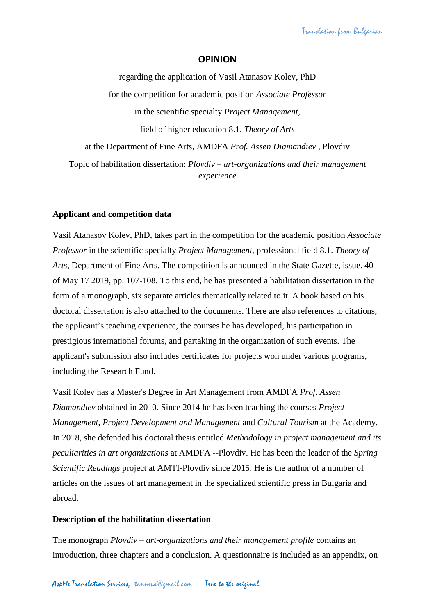## **OPINION**

regarding the application of Vasil Atanasov Kolev, PhD for the competition for academic position *Associate Professor* in the scientific specialty *Project Management*, field of higher education 8.1. *Theory of Arts* at the Department of Fine Arts, AMDFA *Prof. Assen Diamandiev* , Plovdiv Topic of habilitation dissertation: *Plovdiv – art-organizations and their management experience*

## **Applicant and competition data**

Vasil Atanasov Kolev, PhD, takes part in the competition for the academic position *Associate Professor* in the scientific specialty *Project Management*, professional field 8.1. *Theory of Arts*, Department of Fine Arts. The competition is announced in the State Gazette, issue. 40 of May 17 2019, pp. 107-108. To this end, he has presented a habilitation dissertation in the form of a monograph, six separate articles thematically related to it. A book based on his doctoral dissertation is also attached to the documents. There are also references to citations, the applicant's teaching experience, the courses he has developed, his participation in prestigious international forums, and partaking in the organization of such events. The applicant's submission also includes certificates for projects won under various programs, including the Research Fund.

Vasil Kolev has a Master's Degree in Art Management from AMDFA *Prof. Assen Diamandiev* obtained in 2010. Since 2014 he has been teaching the courses *Project Management*, *Project Development and Management* and *Cultural Tourism* at the Academy. In 2018, she defended his doctoral thesis entitled *Methodology in project management and its peculiarities in art organizations* at AMDFA --Plovdiv. He has been the leader of the *Spring Scientific Readings* project at AMTI-Plovdiv since 2015. He is the author of a number of articles on the issues of art management in the specialized scientific press in Bulgaria and abroad.

#### **Description of the habilitation dissertation**

The monograph *Plovdiv – art-organizations and their management profile* contains an introduction, three chapters and a conclusion. A questionnaire is included as an appendix, on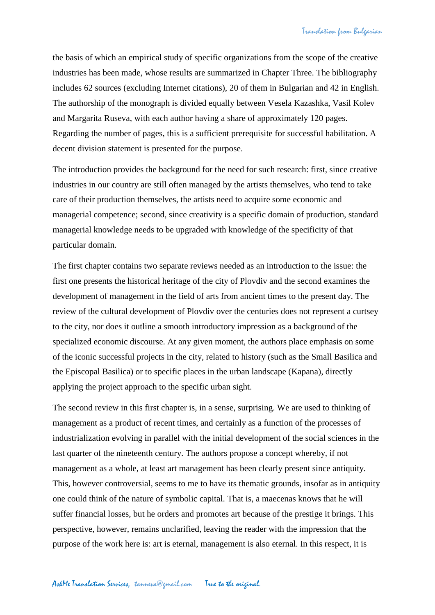the basis of which an empirical study of specific organizations from the scope of the creative industries has been made, whose results are summarized in Chapter Three. The bibliography includes 62 sources (excluding Internet citations), 20 of them in Bulgarian and 42 in English. The authorship of the monograph is divided equally between Vesela Kazashka, Vasil Kolev and Margarita Ruseva, with each author having a share of approximately 120 pages. Regarding the number of pages, this is a sufficient prerequisite for successful habilitation. A decent division statement is presented for the purpose.

The introduction provides the background for the need for such research: first, since creative industries in our country are still often managed by the artists themselves, who tend to take care of their production themselves, the artists need to acquire some economic and managerial competence; second, since creativity is a specific domain of production, standard managerial knowledge needs to be upgraded with knowledge of the specificity of that particular domain.

The first chapter contains two separate reviews needed as an introduction to the issue: the first one presents the historical heritage of the city of Plovdiv and the second examines the development of management in the field of arts from ancient times to the present day. The review of the cultural development of Plovdiv over the centuries does not represent a curtsey to the city, nor does it outline a smooth introductory impression as a background of the specialized economic discourse. At any given moment, the authors place emphasis on some of the iconic successful projects in the city, related to history (such as the Small Basilica and the Episcopal Basilica) or to specific places in the urban landscape (Kapana), directly applying the project approach to the specific urban sight.

The second review in this first chapter is, in a sense, surprising. We are used to thinking of management as a product of recent times, and certainly as a function of the processes of industrialization evolving in parallel with the initial development of the social sciences in the last quarter of the nineteenth century. The authors propose a concept whereby, if not management as a whole, at least art management has been clearly present since antiquity. This, however controversial, seems to me to have its thematic grounds, insofar as in antiquity one could think of the nature of symbolic capital. That is, a maecenas knows that he will suffer financial losses, but he orders and promotes art because of the prestige it brings. This perspective, however, remains unclarified, leaving the reader with the impression that the purpose of the work here is: art is eternal, management is also eternal. In this respect, it is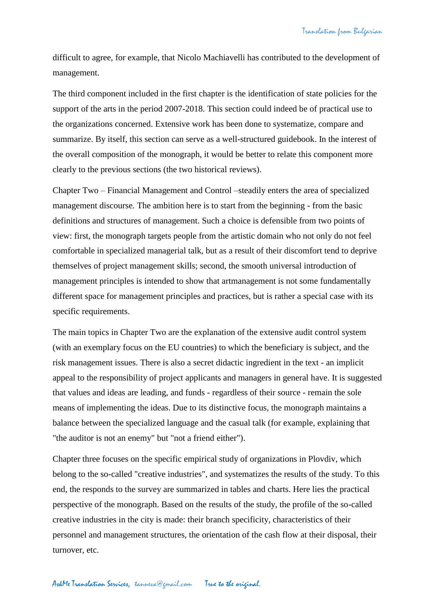difficult to agree, for example, that Nicolo Machiavelli has contributed to the development of management.

The third component included in the first chapter is the identification of state policies for the support of the arts in the period 2007-2018. This section could indeed be of practical use to the organizations concerned. Extensive work has been done to systematize, compare and summarize. By itself, this section can serve as a well-structured guidebook. In the interest of the overall composition of the monograph, it would be better to relate this component more clearly to the previous sections (the two historical reviews).

Chapter Two – Financial Management and Control –steadily enters the area of specialized management discourse. The ambition here is to start from the beginning - from the basic definitions and structures of management. Such a choice is defensible from two points of view: first, the monograph targets people from the artistic domain who not only do not feel comfortable in specialized managerial talk, but as a result of their discomfort tend to deprive themselves of project management skills; second, the smooth universal introduction of management principles is intended to show that artmanagement is not some fundamentally different space for management principles and practices, but is rather a special case with its specific requirements.

The main topics in Chapter Two are the explanation of the extensive audit control system (with an exemplary focus on the EU countries) to which the beneficiary is subject, and the risk management issues. There is also a secret didactic ingredient in the text - an implicit appeal to the responsibility of project applicants and managers in general have. It is suggested that values and ideas are leading, and funds - regardless of their source - remain the sole means of implementing the ideas. Due to its distinctive focus, the monograph maintains a balance between the specialized language and the casual talk (for example, explaining that "the auditor is not an enemy" but "not a friend either").

Chapter three focuses on the specific empirical study of organizations in Plovdiv, which belong to the so-called "creative industries", and systematizes the results of the study. To this end, the responds to the survey are summarized in tables and charts. Here lies the practical perspective of the monograph. Based on the results of the study, the profile of the so-called creative industries in the city is made: their branch specificity, characteristics of their personnel and management structures, the orientation of the cash flow at their disposal, their turnover, etc.